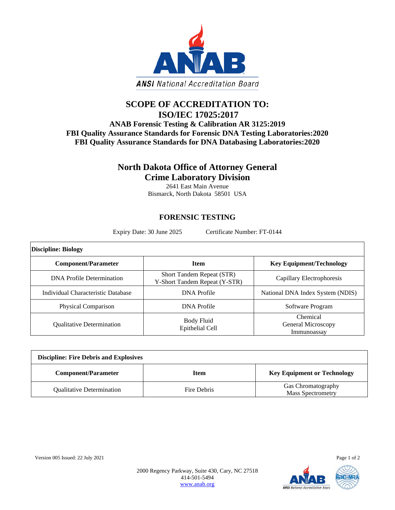

## **SCOPE OF ACCREDITATION TO: ISO/IEC 17025:2017**

## **ANAB Forensic Testing & Calibration AR 3125:2019 FBI Quality Assurance Standards for Forensic DNA Testing Laboratories:2020 FBI Quality Assurance Standards for DNA Databasing Laboratories:2020**

## **North Dakota Office of Attorney General Crime Laboratory Division**

2641 East Main Avenue Bismarck, North Dakota 58501 USA

## **FORENSIC TESTING**

Expiry Date: 30 June 2025 Certificate Number: FT-0144

| <b>Discipline: Biology</b>         |                                                            |                                                      |  |  |
|------------------------------------|------------------------------------------------------------|------------------------------------------------------|--|--|
| <b>Component/Parameter</b>         | <b>Item</b>                                                | <b>Key Equipment/Technology</b>                      |  |  |
| <b>DNA</b> Profile Determination   | Short Tandem Repeat (STR)<br>Y-Short Tandem Repeat (Y-STR) | Capillary Electrophoresis                            |  |  |
| Individual Characteristic Database | DNA Profile                                                | National DNA Index System (NDIS)                     |  |  |
| Physical Comparison                | DNA Profile                                                | Software Program                                     |  |  |
| <b>Oualitative Determination</b>   | Body Fluid<br>Epithelial Cell                              | Chemical<br><b>General Microscopy</b><br>Immunoassay |  |  |

| <b>Discipline: Fire Debris and Explosives</b> |             |                                                |  |
|-----------------------------------------------|-------------|------------------------------------------------|--|
| <b>Component/Parameter</b>                    | <b>Item</b> | <b>Key Equipment or Technology</b>             |  |
| <b>Qualitative Determination</b>              | Fire Debris | Gas Chromatography<br><b>Mass Spectrometry</b> |  |



2000 Regency Parkway, Suite 430, Cary, NC 27518 414-501-5494 [www.anab.org](http://www.anab.org/)